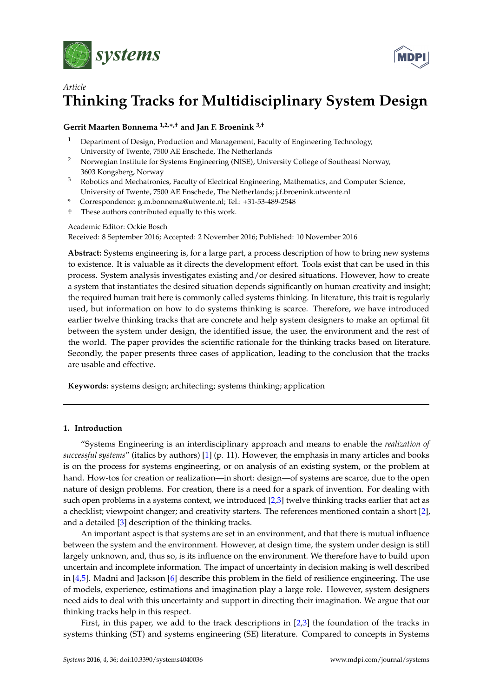



# *Article* **Thinking Tracks for Multidisciplinary System Design**

# **Gerrit Maarten Bonnema 1,2,**∗**,† and Jan F. Broenink 3,†**

- <sup>1</sup> Department of Design, Production and Management, Faculty of Engineering Technology, University of Twente, 7500 AE Enschede, The Netherlands
- <sup>2</sup> Norwegian Institute for Systems Engineering (NISE), University College of Southeast Norway, 3603 Kongsberg, Norway
- <sup>3</sup> Robotics and Mechatronics, Faculty of Electrical Engineering, Mathematics, and Computer Science, University of Twente, 7500 AE Enschede, The Netherlands; j.f.broenink.utwente.nl
- **\*** Correspondence: g.m.bonnema@utwente.nl; Tel.: +31-53-489-2548
- † These authors contributed equally to this work.

## Academic Editor: Ockie Bosch

Received: 8 September 2016; Accepted: 2 November 2016; Published: 10 November 2016

**Abstract:** Systems engineering is, for a large part, a process description of how to bring new systems to existence. It is valuable as it directs the development effort. Tools exist that can be used in this process. System analysis investigates existing and/or desired situations. However, how to create a system that instantiates the desired situation depends significantly on human creativity and insight; the required human trait here is commonly called systems thinking. In literature, this trait is regularly used, but information on how to do systems thinking is scarce. Therefore, we have introduced earlier twelve thinking tracks that are concrete and help system designers to make an optimal fit between the system under design, the identified issue, the user, the environment and the rest of the world. The paper provides the scientific rationale for the thinking tracks based on literature. Secondly, the paper presents three cases of application, leading to the conclusion that the tracks are usable and effective.

**Keywords:** systems design; architecting; systems thinking; application

## **1. Introduction**

"Systems Engineering is an interdisciplinary approach and means to enable the *realization of successful systems*" (italics by authors) [\[1\]](#page-14-0) (p. 11). However, the emphasis in many articles and books is on the process for systems engineering, or on analysis of an existing system, or the problem at hand. How-tos for creation or realization—in short: design—of systems are scarce, due to the open nature of design problems. For creation, there is a need for a spark of invention. For dealing with such open problems in a systems context, we introduced [\[2](#page-14-1)[,3\]](#page-14-2) twelve thinking tracks earlier that act as a checklist; viewpoint changer; and creativity starters. The references mentioned contain a short [\[2\]](#page-14-1), and a detailed [\[3\]](#page-14-2) description of the thinking tracks.

An important aspect is that systems are set in an environment, and that there is mutual influence between the system and the environment. However, at design time, the system under design is still largely unknown, and, thus so, is its influence on the environment. We therefore have to build upon uncertain and incomplete information. The impact of uncertainty in decision making is well described in  $[4,5]$  $[4,5]$ . Madni and Jackson  $[6]$  describe this problem in the field of resilience engineering. The use of models, experience, estimations and imagination play a large role. However, system designers need aids to deal with this uncertainty and support in directing their imagination. We argue that our thinking tracks help in this respect.

First, in this paper, we add to the track descriptions in [\[2,](#page-14-1)[3\]](#page-14-2) the foundation of the tracks in systems thinking (ST) and systems engineering (SE) literature. Compared to concepts in Systems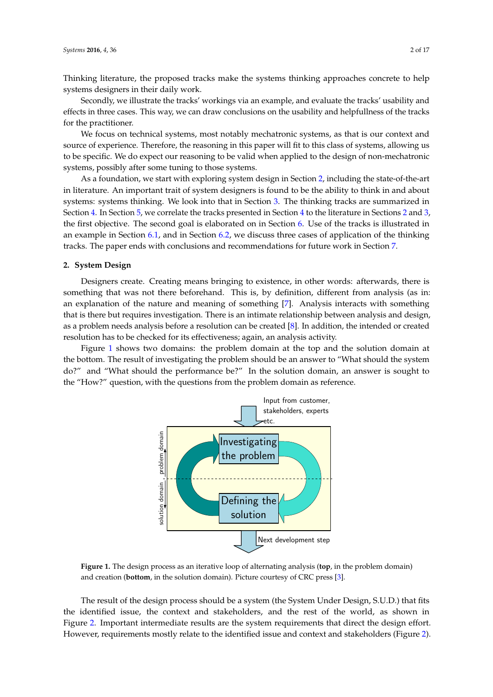Thinking literature, the proposed tracks make the systems thinking approaches concrete to help systems designers in their daily work.

Secondly, we illustrate the tracks' workings via an example, and evaluate the tracks' usability and effects in three cases. This way, we can draw conclusions on the usability and helpfullness of the tracks for the practitioner.

We focus on technical systems, most notably mechatronic systems, as that is our context and source of experience. Therefore, the reasoning in this paper will fit to this class of systems, allowing us to be specific. We do expect our reasoning to be valid when applied to the design of non-mechatronic systems, possibly after some tuning to those systems.

As a foundation, we start with exploring system design in Section [2,](#page-1-0) including the state-of-the-art in literature. An important trait of system designers is found to be the ability to think in and about systems: systems thinking. We look into that in Section [3.](#page-3-0) The thinking tracks are summarized in Section [4.](#page-5-0) In Section [5,](#page-8-0) we correlate the tracks presented in Section [4](#page-5-0) to the literature in Sections [2](#page-1-0) and [3,](#page-3-0) the first objective. The second goal is elaborated on in Section [6.](#page-9-0) Use of the tracks is illustrated in an example in Section [6.1,](#page-10-0) and in Section [6.2,](#page-11-0) we discuss three cases of application of the thinking tracks. The paper ends with conclusions and recommendations for future work in Section [7.](#page-14-5)

## <span id="page-1-0"></span>**2. System Design**

Designers create. Creating means bringing to existence, in other words: afterwards, there is something that was not there beforehand. This is, by definition, different from analysis (as in: an explanation of the nature and meaning of something [\[7\]](#page-15-1). Analysis interacts with something that is there but requires investigation. There is an intimate relationship between analysis and design, as a problem needs analysis before a resolution can be created [\[8\]](#page-15-2). In addition, the intended or created resolution has to be checked for its effectiveness; again, an analysis activity.

<span id="page-1-1"></span>Figure [1](#page-1-1) shows two domains: the problem domain at the top and the solution domain at the bottom. The result of investigating the problem should be an answer to "What should the system do?" and "What should the performance be?" In the solution domain, an answer is sought to the "How?" question, with the questions from the problem domain as reference.



**Figure 1.** The design process as an iterative loop of alternating analysis (**top**, in the problem domain) and creation (**bottom**, in the solution domain). Picture courtesy of CRC press [\[3\]](#page-14-2).

The result of the design process should be a system (the System Under Design, S.U.D.) that fits the identified issue, the context and stakeholders, and the rest of the world, as shown in Figure [2.](#page-2-0) Important intermediate results are the system requirements that direct the design effort. However, requirements mostly relate to the identified issue and context and stakeholders (Figure [2\)](#page-2-0).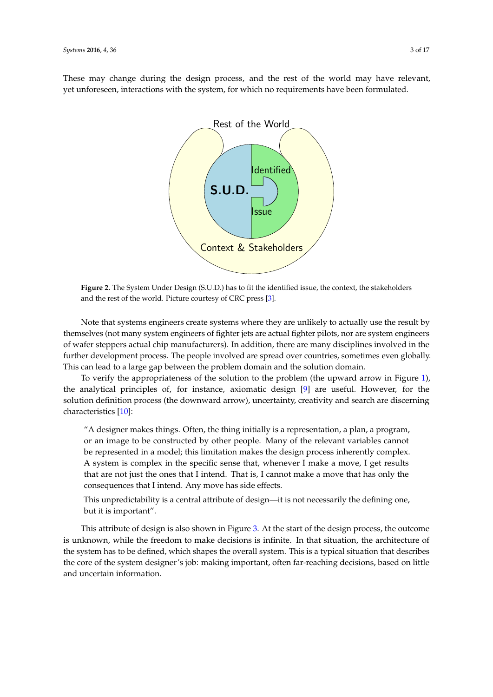<span id="page-2-0"></span>These may change during the design process, and the rest of the world may have relevant, yet unforeseen, interactions with the system, for which no requirements have been formulated.



**Figure 2.** The System Under Design (S.U.D.) has to fit the identified issue, the context, the stakeholders and the rest of the world. Picture courtesy of CRC press [\[3\]](#page-14-2).

Note that systems engineers create systems where they are unlikely to actually use the result by themselves (not many system engineers of fighter jets are actual fighter pilots, nor are system engineers of wafer steppers actual chip manufacturers). In addition, there are many disciplines involved in the further development process. The people involved are spread over countries, sometimes even globally. This can lead to a large gap between the problem domain and the solution domain.

To verify the appropriateness of the solution to the problem (the upward arrow in Figure [1\)](#page-1-1), the analytical principles of, for instance, axiomatic design [\[9\]](#page-15-3) are useful. However, for the solution definition process (the downward arrow), uncertainty, creativity and search are discerning characteristics [\[10\]](#page-15-4):

"A designer makes things. Often, the thing initially is a representation, a plan, a program, or an image to be constructed by other people. Many of the relevant variables cannot be represented in a model; this limitation makes the design process inherently complex. A system is complex in the specific sense that, whenever I make a move, I get results that are not just the ones that I intend. That is, I cannot make a move that has only the consequences that I intend. Any move has side effects.

This unpredictability is a central attribute of design—it is not necessarily the defining one, but it is important".

This attribute of design is also shown in Figure [3.](#page-3-1) At the start of the design process, the outcome is unknown, while the freedom to make decisions is infinite. In that situation, the architecture of the system has to be defined, which shapes the overall system. This is a typical situation that describes the core of the system designer's job: making important, often far-reaching decisions, based on little and uncertain information.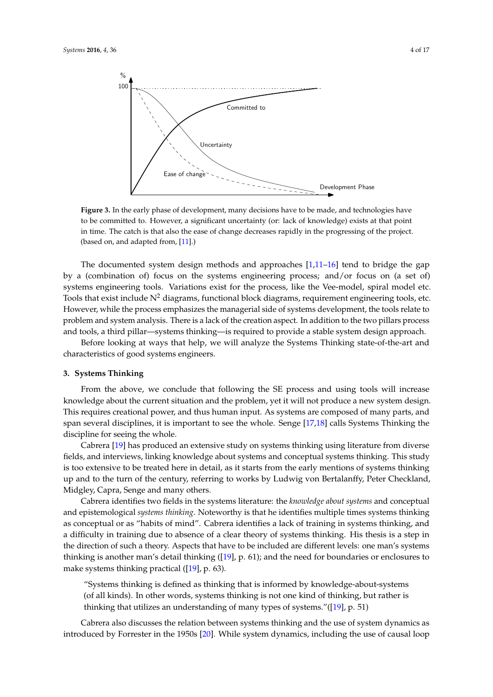<span id="page-3-1"></span>

**Figure 3.** In the early phase of development, many decisions have to be made, and technologies have to be committed to. However, a significant uncertainty (or: lack of knowledge) exists at that point in time. The catch is that also the ease of change decreases rapidly in the progressing of the project. (based on, and adapted from, [\[11\]](#page-15-5).)

The documented system design methods and approaches [\[1](#page-14-0)[,11](#page-15-5)[–16\]](#page-15-6) tend to bridge the gap by a (combination of) focus on the systems engineering process; and/or focus on (a set of) systems engineering tools. Variations exist for the process, like the Vee-model, spiral model etc. Tools that exist include  $N^2$  diagrams, functional block diagrams, requirement engineering tools, etc. However, while the process emphasizes the managerial side of systems development, the tools relate to problem and system analysis. There is a lack of the creation aspect. In addition to the two pillars process and tools, a third pillar—systems thinking—is required to provide a stable system design approach.

Before looking at ways that help, we will analyze the Systems Thinking state-of-the-art and characteristics of good systems engineers.

#### <span id="page-3-0"></span>**3. Systems Thinking**

From the above, we conclude that following the SE process and using tools will increase knowledge about the current situation and the problem, yet it will not produce a new system design. This requires creational power, and thus human input. As systems are composed of many parts, and span several disciplines, it is important to see the whole. Senge [\[17](#page-15-7)[,18\]](#page-15-8) calls Systems Thinking the discipline for seeing the whole.

Cabrera [\[19\]](#page-15-9) has produced an extensive study on systems thinking using literature from diverse fields, and interviews, linking knowledge about systems and conceptual systems thinking. This study is too extensive to be treated here in detail, as it starts from the early mentions of systems thinking up and to the turn of the century, referring to works by Ludwig von Bertalanffy, Peter Checkland, Midgley, Capra, Senge and many others.

Cabrera identifies two fields in the systems literature: the *knowledge about systems* and conceptual and epistemological *systems thinking*. Noteworthy is that he identifies multiple times systems thinking as conceptual or as "habits of mind". Cabrera identifies a lack of training in systems thinking, and a difficulty in training due to absence of a clear theory of systems thinking. His thesis is a step in the direction of such a theory. Aspects that have to be included are different levels: one man's systems thinking is another man's detail thinking ([\[19\]](#page-15-9), p. 61); and the need for boundaries or enclosures to make systems thinking practical ([\[19\]](#page-15-9), p. 63).

"Systems thinking is defined as thinking that is informed by knowledge-about-systems (of all kinds). In other words, systems thinking is not one kind of thinking, but rather is thinking that utilizes an understanding of many types of systems."([\[19\]](#page-15-9), p. 51)

Cabrera also discusses the relation between systems thinking and the use of system dynamics as introduced by Forrester in the 1950s [\[20\]](#page-15-10). While system dynamics, including the use of causal loop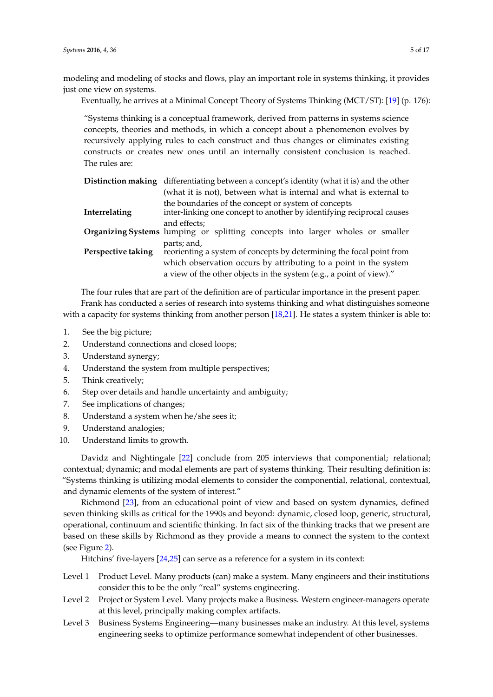modeling and modeling of stocks and flows, play an important role in systems thinking, it provides just one view on systems.

Eventually, he arrives at a Minimal Concept Theory of Systems Thinking (MCT/ST): [\[19\]](#page-15-9) (p. 176):

"Systems thinking is a conceptual framework, derived from patterns in systems science concepts, theories and methods, in which a concept about a phenomenon evolves by recursively applying rules to each construct and thus changes or eliminates existing constructs or creates new ones until an internally consistent conclusion is reached. The rules are:

|                    | <b>Distinction making</b> differentiating between a concept's identity (what it is) and the other                            |  |  |  |
|--------------------|------------------------------------------------------------------------------------------------------------------------------|--|--|--|
|                    | (what it is not), between what is internal and what is external to                                                           |  |  |  |
| Interrelating      | the boundaries of the concept or system of concepts<br>inter-linking one concept to another by identifying reciprocal causes |  |  |  |
|                    | and effects:<br><b>Organizing Systems</b> lumping or splitting concepts into larger wholes or smaller                        |  |  |  |
| Perspective taking | parts; and,<br>reorienting a system of concepts by determining the focal point from                                          |  |  |  |
|                    | which observation occurs by attributing to a point in the system                                                             |  |  |  |
|                    | a view of the other objects in the system (e.g., a point of view)."                                                          |  |  |  |

The four rules that are part of the definition are of particular importance in the present paper. Frank has conducted a series of research into systems thinking and what distinguishes someone with a capacity for systems thinking from another person [\[18,](#page-15-8)[21\]](#page-15-11). He states a system thinker is able to:

- 1. See the big picture;
- 2. Understand connections and closed loops;
- 3. Understand synergy;
- 4. Understand the system from multiple perspectives;
- 5. Think creatively;
- 6. Step over details and handle uncertainty and ambiguity;
- 7. See implications of changes;
- 8. Understand a system when he/she sees it;
- 9. Understand analogies;
- 10. Understand limits to growth.

Davidz and Nightingale [\[22\]](#page-15-12) conclude from 205 interviews that componential; relational; contextual; dynamic; and modal elements are part of systems thinking. Their resulting definition is: "Systems thinking is utilizing modal elements to consider the componential, relational, contextual, and dynamic elements of the system of interest."

Richmond [\[23\]](#page-15-13), from an educational point of view and based on system dynamics, defined seven thinking skills as critical for the 1990s and beyond: dynamic, closed loop, generic, structural, operational, continuum and scientific thinking. In fact six of the thinking tracks that we present are based on these skills by Richmond as they provide a means to connect the system to the context (see Figure [2\)](#page-2-0).

Hitchins' five-layers [\[24](#page-15-14)[,25\]](#page-15-15) can serve as a reference for a system in its context:

- Level 1 Product Level. Many products (can) make a system. Many engineers and their institutions consider this to be the only "real" systems engineering.
- Level 2 Project or System Level. Many projects make a Business. Western engineer-managers operate at this level, principally making complex artifacts.
- Level 3 Business Systems Engineering—many businesses make an industry. At this level, systems engineering seeks to optimize performance somewhat independent of other businesses.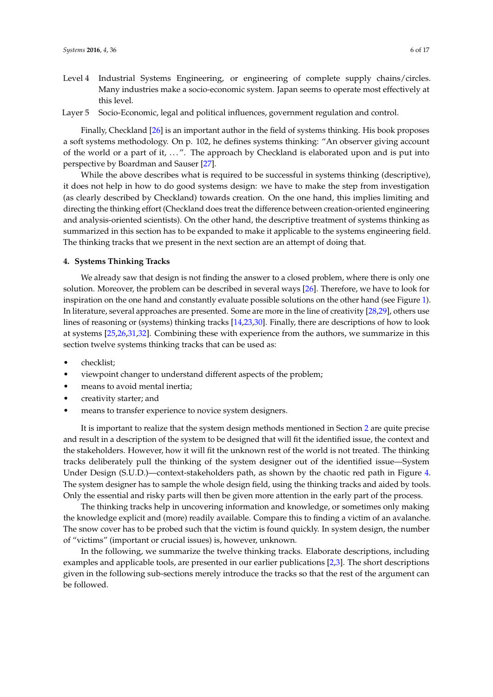- Level 4 Industrial Systems Engineering, or engineering of complete supply chains/circles. Many industries make a socio-economic system. Japan seems to operate most effectively at this level.
- Layer 5 Socio-Economic, legal and political influences, government regulation and control.

Finally, Checkland [\[26\]](#page-15-16) is an important author in the field of systems thinking. His book proposes a soft systems methodology. On p. 102, he defines systems thinking: "An observer giving account of the world or a part of it, ...". The approach by Checkland is elaborated upon and is put into perspective by Boardman and Sauser [\[27\]](#page-15-17).

While the above describes what is required to be successful in systems thinking (descriptive), it does not help in how to do good systems design: we have to make the step from investigation (as clearly described by Checkland) towards creation. On the one hand, this implies limiting and directing the thinking effort (Checkland does treat the difference between creation-oriented engineering and analysis-oriented scientists). On the other hand, the descriptive treatment of systems thinking as summarized in this section has to be expanded to make it applicable to the systems engineering field. The thinking tracks that we present in the next section are an attempt of doing that.

### <span id="page-5-0"></span>**4. Systems Thinking Tracks**

We already saw that design is not finding the answer to a closed problem, where there is only one solution. Moreover, the problem can be described in several ways [\[26\]](#page-15-16). Therefore, we have to look for inspiration on the one hand and constantly evaluate possible solutions on the other hand (see Figure [1\)](#page-1-1). In literature, several approaches are presented. Some are more in the line of creativity [\[28](#page-15-18)[,29\]](#page-15-19), others use lines of reasoning or (systems) thinking tracks [\[14,](#page-15-20)[23,](#page-15-13)[30\]](#page-15-21). Finally, there are descriptions of how to look at systems [\[25](#page-15-15)[,26,](#page-15-16)[31](#page-15-22)[,32\]](#page-15-23). Combining these with experience from the authors, we summarize in this section twelve systems thinking tracks that can be used as:

- checklist;
- viewpoint changer to understand different aspects of the problem;
- means to avoid mental inertia;
- creativity starter; and
- means to transfer experience to novice system designers.

It is important to realize that the system design methods mentioned in Section [2](#page-1-0) are quite precise and result in a description of the system to be designed that will fit the identified issue, the context and the stakeholders. However, how it will fit the unknown rest of the world is not treated. The thinking tracks deliberately pull the thinking of the system designer out of the identified issue—System Under Design (S.U.D.)—context-stakeholders path, as shown by the chaotic red path in Figure [4.](#page-6-0) The system designer has to sample the whole design field, using the thinking tracks and aided by tools. Only the essential and risky parts will then be given more attention in the early part of the process.

The thinking tracks help in uncovering information and knowledge, or sometimes only making the knowledge explicit and (more) readily available. Compare this to finding a victim of an avalanche. The snow cover has to be probed such that the victim is found quickly. In system design, the number of "victims" (important or crucial issues) is, however, unknown.

In the following, we summarize the twelve thinking tracks. Elaborate descriptions, including examples and applicable tools, are presented in our earlier publications [\[2](#page-14-1)[,3\]](#page-14-2). The short descriptions given in the following sub-sections merely introduce the tracks so that the rest of the argument can be followed.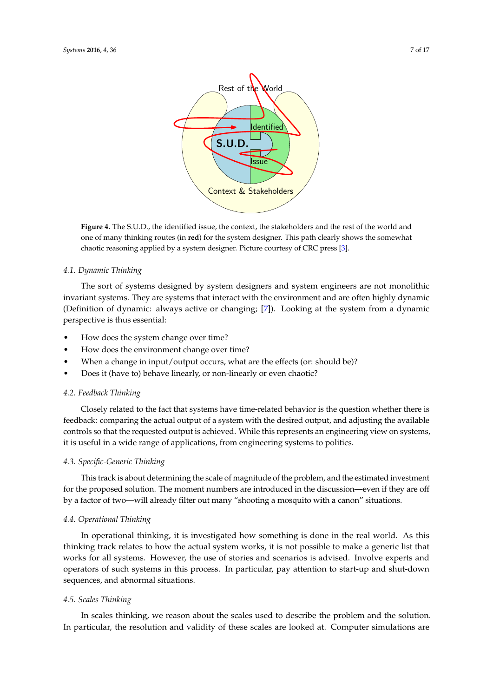<span id="page-6-0"></span>

**Figure 4.** The S.U.D., the identified issue, the context, the stakeholders and the rest of the world and one of many thinking routes (in **red**) for the system designer. This path clearly shows the somewhat chaotic reasoning applied by a system designer. Picture courtesy of CRC press [\[3\]](#page-14-2).

## *4.1. Dynamic Thinking*

The sort of systems designed by system designers and system engineers are not monolithic invariant systems. They are systems that interact with the environment and are often highly dynamic (Definition of dynamic: always active or changing; [\[7\]](#page-15-1)). Looking at the system from a dynamic perspective is thus essential:

- How does the system change over time?
- How does the environment change over time?
- When a change in input/output occurs, what are the effects (or: should be)?
- Does it (have to) behave linearly, or non-linearly or even chaotic?

## *4.2. Feedback Thinking*

Closely related to the fact that systems have time-related behavior is the question whether there is feedback: comparing the actual output of a system with the desired output, and adjusting the available controls so that the requested output is achieved. While this represents an engineering view on systems, it is useful in a wide range of applications, from engineering systems to politics.

## *4.3. Specific-Generic Thinking*

This track is about determining the scale of magnitude of the problem, and the estimated investment for the proposed solution. The moment numbers are introduced in the discussion—even if they are off by a factor of two—will already filter out many "shooting a mosquito with a canon" situations.

## *4.4. Operational Thinking*

In operational thinking, it is investigated how something is done in the real world. As this thinking track relates to how the actual system works, it is not possible to make a generic list that works for all systems. However, the use of stories and scenarios is advised. Involve experts and operators of such systems in this process. In particular, pay attention to start-up and shut-down sequences, and abnormal situations.

## *4.5. Scales Thinking*

In scales thinking, we reason about the scales used to describe the problem and the solution. In particular, the resolution and validity of these scales are looked at. Computer simulations are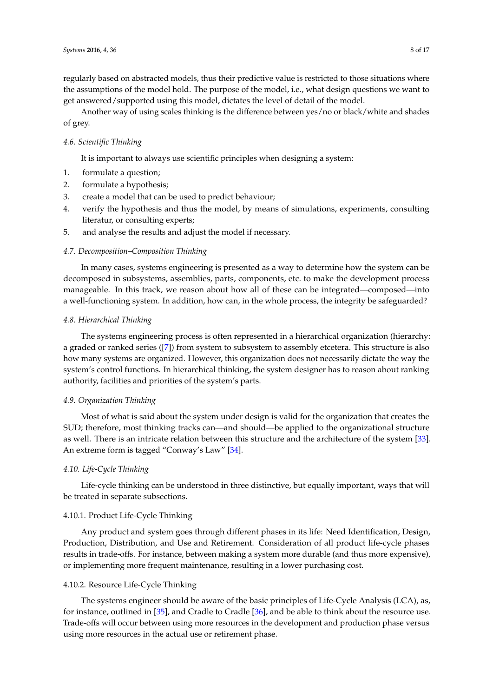regularly based on abstracted models, thus their predictive value is restricted to those situations where the assumptions of the model hold. The purpose of the model, i.e., what design questions we want to get answered/supported using this model, dictates the level of detail of the model.

Another way of using scales thinking is the difference between yes/no or black/white and shades of grey.

## *4.6. Scientific Thinking*

It is important to always use scientific principles when designing a system:

- 1. formulate a question;
- 2. formulate a hypothesis;
- 3. create a model that can be used to predict behaviour;
- 4. verify the hypothesis and thus the model, by means of simulations, experiments, consulting literatur, or consulting experts;
- 5. and analyse the results and adjust the model if necessary.

## *4.7. Decomposition–Composition Thinking*

In many cases, systems engineering is presented as a way to determine how the system can be decomposed in subsystems, assemblies, parts, components, etc. to make the development process manageable. In this track, we reason about how all of these can be integrated—composed—into a well-functioning system. In addition, how can, in the whole process, the integrity be safeguarded?

## *4.8. Hierarchical Thinking*

The systems engineering process is often represented in a hierarchical organization (hierarchy: a graded or ranked series ([\[7\]](#page-15-1)) from system to subsystem to assembly etcetera. This structure is also how many systems are organized. However, this organization does not necessarily dictate the way the system's control functions. In hierarchical thinking, the system designer has to reason about ranking authority, facilities and priorities of the system's parts.

## *4.9. Organization Thinking*

Most of what is said about the system under design is valid for the organization that creates the SUD; therefore, most thinking tracks can—and should—be applied to the organizational structure as well. There is an intricate relation between this structure and the architecture of the system [\[33\]](#page-15-24). An extreme form is tagged "Conway's Law" [\[34\]](#page-15-25).

## *4.10. Life-Cycle Thinking*

Life-cycle thinking can be understood in three distinctive, but equally important, ways that will be treated in separate subsections.

# 4.10.1. Product Life-Cycle Thinking

Any product and system goes through different phases in its life: Need Identification, Design, Production, Distribution, and Use and Retirement. Consideration of all product life-cycle phases results in trade-offs. For instance, between making a system more durable (and thus more expensive), or implementing more frequent maintenance, resulting in a lower purchasing cost.

#### 4.10.2. Resource Life-Cycle Thinking

The systems engineer should be aware of the basic principles of Life-Cycle Analysis (LCA), as, for instance, outlined in [\[35\]](#page-16-0), and Cradle to Cradle [\[36\]](#page-16-1), and be able to think about the resource use. Trade-offs will occur between using more resources in the development and production phase versus using more resources in the actual use or retirement phase.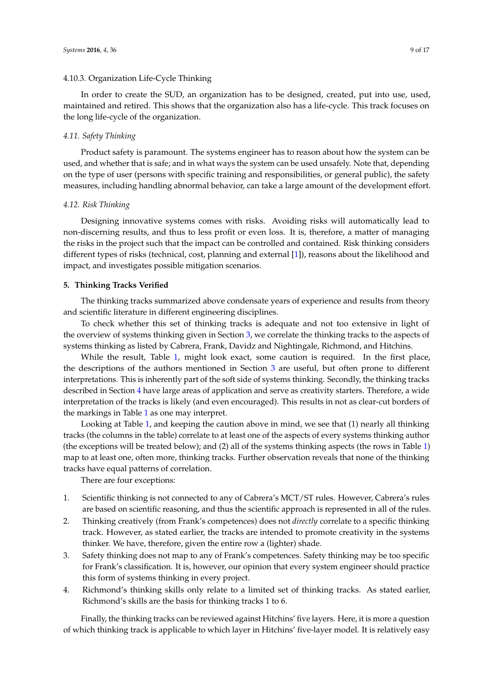## 4.10.3. Organization Life-Cycle Thinking

In order to create the SUD, an organization has to be designed, created, put into use, used, maintained and retired. This shows that the organization also has a life-cycle. This track focuses on the long life-cycle of the organization.

#### *4.11. Safety Thinking*

Product safety is paramount. The systems engineer has to reason about how the system can be used, and whether that is safe; and in what ways the system can be used unsafely. Note that, depending on the type of user (persons with specific training and responsibilities, or general public), the safety measures, including handling abnormal behavior, can take a large amount of the development effort.

## *4.12. Risk Thinking*

Designing innovative systems comes with risks. Avoiding risks will automatically lead to non-discerning results, and thus to less profit or even loss. It is, therefore, a matter of managing the risks in the project such that the impact can be controlled and contained. Risk thinking considers different types of risks (technical, cost, planning and external [\[1\]](#page-14-0)), reasons about the likelihood and impact, and investigates possible mitigation scenarios.

## <span id="page-8-0"></span>**5. Thinking Tracks Verified**

The thinking tracks summarized above condensate years of experience and results from theory and scientific literature in different engineering disciplines.

To check whether this set of thinking tracks is adequate and not too extensive in light of the overview of systems thinking given in Section [3,](#page-3-0) we correlate the thinking tracks to the aspects of systems thinking as listed by Cabrera, Frank, Davidz and Nightingale, Richmond, and Hitchins.

While the result, Table [1,](#page-9-1) might look exact, some caution is required. In the first place, the descriptions of the authors mentioned in Section [3](#page-3-0) are useful, but often prone to different interpretations. This is inherently part of the soft side of systems thinking. Secondly, the thinking tracks described in Section [4](#page-5-0) have large areas of application and serve as creativity starters. Therefore, a wide interpretation of the tracks is likely (and even encouraged). This results in not as clear-cut borders of the markings in Table [1](#page-9-1) as one may interpret.

Looking at Table [1,](#page-9-1) and keeping the caution above in mind, we see that (1) nearly all thinking tracks (the columns in the table) correlate to at least one of the aspects of every systems thinking author (the exceptions will be treated below); and (2) all of the systems thinking aspects (the rows in Table [1\)](#page-9-1) map to at least one, often more, thinking tracks. Further observation reveals that none of the thinking tracks have equal patterns of correlation.

There are four exceptions:

- 1. Scientific thinking is not connected to any of Cabrera's MCT/ST rules. However, Cabrera's rules are based on scientific reasoning, and thus the scientific approach is represented in all of the rules.
- 2. Thinking creatively (from Frank's competences) does not *directly* correlate to a specific thinking track. However, as stated earlier, the tracks are intended to promote creativity in the systems thinker. We have, therefore, given the entire row a (lighter) shade.
- 3. Safety thinking does not map to any of Frank's competences. Safety thinking may be too specific for Frank's classification. It is, however, our opinion that every system engineer should practice this form of systems thinking in every project.
- 4. Richmond's thinking skills only relate to a limited set of thinking tracks. As stated earlier, Richmond's skills are the basis for thinking tracks 1 to 6.

Finally, the thinking tracks can be reviewed against Hitchins' five layers. Here, it is more a question of which thinking track is applicable to which layer in Hitchins' five-layer model. It is relatively easy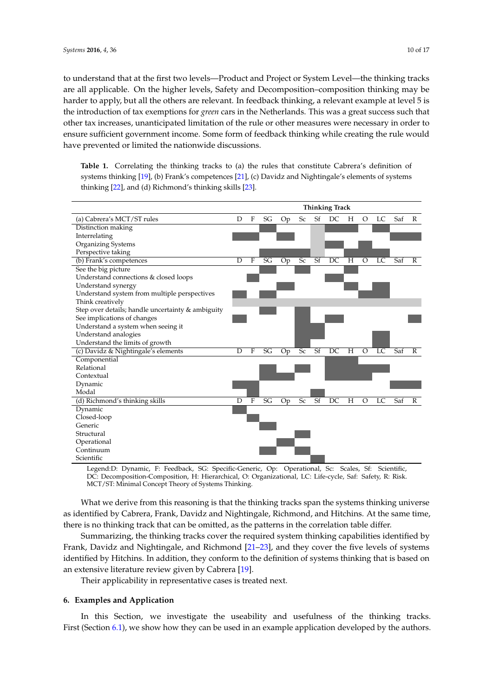to understand that at the first two levels—Product and Project or System Level—the thinking tracks are all applicable. On the higher levels, Safety and Decomposition–composition thinking may be harder to apply, but all the others are relevant. In feedback thinking, a relevant example at level 5 is the introduction of tax exemptions for *green* cars in the Netherlands. This was a great success such that other tax increases, unanticipated limitation of the rule or other measures were necessary in order to ensure sufficient government income. Some form of feedback thinking while creating the rule would have prevented or limited the nationwide discussions.

<span id="page-9-1"></span>**Table 1.** Correlating the thinking tracks to (a) the rules that constitute Cabrera's definition of systems thinking [\[19\]](#page-15-9), (b) Frank's competences [\[21\]](#page-15-11), (c) Davidz and Nightingale's elements of systems thinking [\[22\]](#page-15-12), and (d) Richmond's thinking skills [\[23\]](#page-15-13).



Legend:D: Dynamic, F: Feedback, SG: Specific-Generic, Op: Operational, Sc: Scales, Sf: Scientific, DC: Decomposition-Composition, H: Hierarchical, O: Organizational, LC: Life-cycle, Saf: Safety, R: Risk. MCT/ST: Minimal Concept Theory of Systems Thinking.

What we derive from this reasoning is that the thinking tracks span the systems thinking universe as identified by Cabrera, Frank, Davidz and Nightingale, Richmond, and Hitchins. At the same time, there is no thinking track that can be omitted, as the patterns in the correlation table differ.

Summarizing, the thinking tracks cover the required system thinking capabilities identified by Frank, Davidz and Nightingale, and Richmond [\[21–](#page-15-11)[23\]](#page-15-13), and they cover the five levels of systems identified by Hitchins. In addition, they conform to the definition of systems thinking that is based on an extensive literature review given by Cabrera [\[19\]](#page-15-9).

Their applicability in representative cases is treated next.

## <span id="page-9-0"></span>**6. Examples and Application**

In this Section, we investigate the useability and usefulness of the thinking tracks. First (Section [6.1\)](#page-10-0), we show how they can be used in an example application developed by the authors.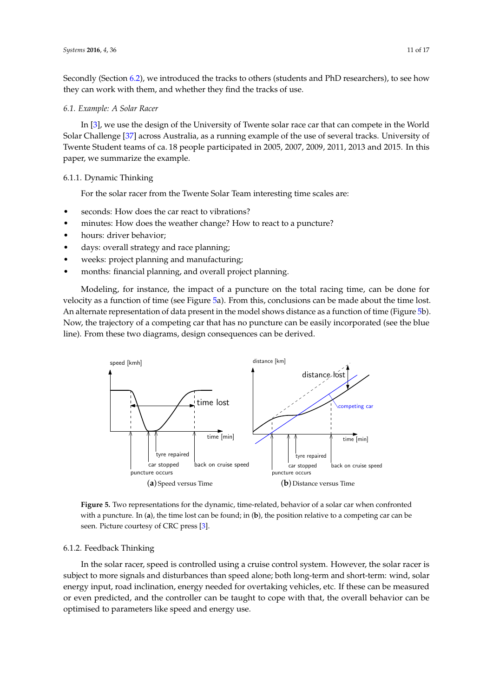Secondly (Section [6.2\)](#page-11-0), we introduced the tracks to others (students and PhD researchers), to see how they can work with them, and whether they find the tracks of use.

## <span id="page-10-0"></span>*6.1. Example: A Solar Racer*

In [\[3\]](#page-14-2), we use the design of the University of Twente solar race car that can compete in the World Solar Challenge [\[37\]](#page-16-2) across Australia, as a running example of the use of several tracks. University of Twente Student teams of ca. 18 people participated in 2005, 2007, 2009, 2011, 2013 and 2015. In this paper, we summarize the example.

## 6.1.1. Dynamic Thinking

For the solar racer from the Twente Solar Team interesting time scales are:

- seconds: How does the car react to vibrations?
- minutes: How does the weather change? How to react to a puncture?
- hours: driver behavior;
- days: overall strategy and race planning;
- weeks: project planning and manufacturing;
- months: financial planning, and overall project planning.

Modeling, for instance, the impact of a puncture on the total racing time, can be done for velocity as a function of time (see Figure [5a](#page-10-1)). From this, conclusions can be made about the time lost. An alternate representation of data present in the model shows distance as a function of time (Figure [5b](#page-10-1)). Now, the trajectory of a competing car that has no puncture can be easily incorporated (see the blue line). From these two diagrams, design consequences can be derived.

<span id="page-10-1"></span>

**Figure 5.** Two representations for the dynamic, time-related, behavior of a solar car when confronted with a puncture. In (**a**), the time lost can be found; in (**b**), the position relative to a competing car can be seen. Picture courtesy of CRC press [\[3\]](#page-14-2).

#### <span id="page-10-2"></span>6.1.2. Feedback Thinking

In the solar racer, speed is controlled using a cruise control system. However, the solar racer is subject to more signals and disturbances than speed alone; both long-term and short-term: wind, solar energy input, road inclination, energy needed for overtaking vehicles, etc. If these can be measured or even predicted, and the controller can be taught to cope with that, the overall behavior can be optimised to parameters like speed and energy use.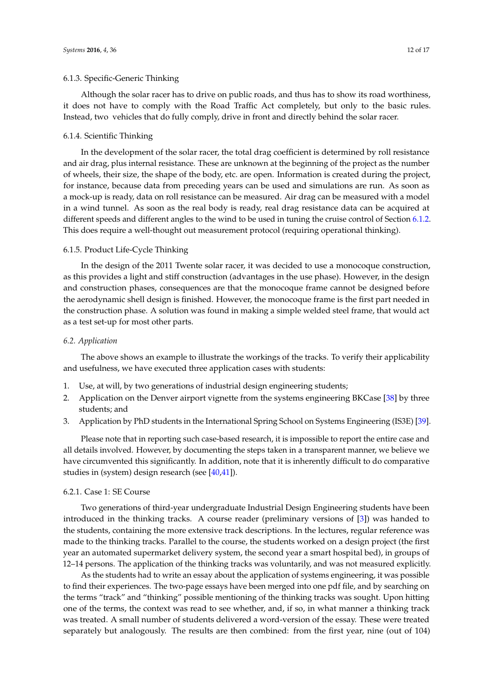## 6.1.3. Specific-Generic Thinking

Although the solar racer has to drive on public roads, and thus has to show its road worthiness, it does not have to comply with the Road Traffic Act completely, but only to the basic rules. Instead, two vehicles that do fully comply, drive in front and directly behind the solar racer.

#### 6.1.4. Scientific Thinking

In the development of the solar racer, the total drag coefficient is determined by roll resistance and air drag, plus internal resistance. These are unknown at the beginning of the project as the number of wheels, their size, the shape of the body, etc. are open. Information is created during the project, for instance, because data from preceding years can be used and simulations are run. As soon as a mock-up is ready, data on roll resistance can be measured. Air drag can be measured with a model in a wind tunnel. As soon as the real body is ready, real drag resistance data can be acquired at different speeds and different angles to the wind to be used in tuning the cruise control of Section [6.1.2.](#page-10-2) This does require a well-thought out measurement protocol (requiring operational thinking).

## 6.1.5. Product Life-Cycle Thinking

In the design of the 2011 Twente solar racer, it was decided to use a monocoque construction, as this provides a light and stiff construction (advantages in the use phase). However, in the design and construction phases, consequences are that the monocoque frame cannot be designed before the aerodynamic shell design is finished. However, the monocoque frame is the first part needed in the construction phase. A solution was found in making a simple welded steel frame, that would act as a test set-up for most other parts.

## <span id="page-11-0"></span>*6.2. Application*

The above shows an example to illustrate the workings of the tracks. To verify their applicability and usefulness, we have executed three application cases with students:

- 1. Use, at will, by two generations of industrial design engineering students;
- 2. Application on the Denver airport vignette from the systems engineering BKCase [\[38\]](#page-16-3) by three students; and
- 3. Application by PhD students in the International Spring School on Systems Engineering (IS3E) [\[39\]](#page-16-4).

Please note that in reporting such case-based research, it is impossible to report the entire case and all details involved. However, by documenting the steps taken in a transparent manner, we believe we have circumvented this significantly. In addition, note that it is inherently difficult to do comparative studies in (system) design research (see [\[40,](#page-16-5)[41\]](#page-16-6)).

#### 6.2.1. Case 1: SE Course

Two generations of third-year undergraduate Industrial Design Engineering students have been introduced in the thinking tracks. A course reader (preliminary versions of [\[3\]](#page-14-2)) was handed to the students, containing the more extensive track descriptions. In the lectures, regular reference was made to the thinking tracks. Parallel to the course, the students worked on a design project (the first year an automated supermarket delivery system, the second year a smart hospital bed), in groups of 12–14 persons. The application of the thinking tracks was voluntarily, and was not measured explicitly.

As the students had to write an essay about the application of systems engineering, it was possible to find their experiences. The two-page essays have been merged into one pdf file, and by searching on the terms "track" and "thinking" possible mentioning of the thinking tracks was sought. Upon hitting one of the terms, the context was read to see whether, and, if so, in what manner a thinking track was treated. A small number of students delivered a word-version of the essay. These were treated separately but analogously. The results are then combined: from the first year, nine (out of 104)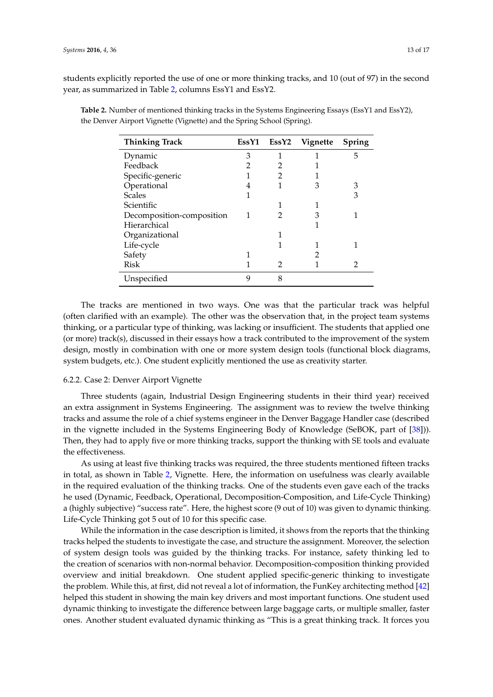students explicitly reported the use of one or more thinking tracks, and 10 (out of 97) in the second year, as summarized in Table [2,](#page-12-0) columns EssY1 and EssY2.

| <b>Thinking Track</b>     | EssY1 | EssY2 | Vignette | Spring |
|---------------------------|-------|-------|----------|--------|
| Dynamic                   | 3     |       |          | 5      |
| Feedback                  |       | 2     |          |        |
| Specific-generic          |       | 2     |          |        |
| Operational               |       | 1     | З        | 3      |
| <b>Scales</b>             |       |       |          | 3      |
| Scientific                |       |       |          |        |
| Decomposition-composition | 1     | 2     | З        |        |
| Hierarchical              |       |       |          |        |
| Organizational            |       |       |          |        |
| Life-cycle                |       |       |          |        |
| Safety                    |       |       |          |        |
| Risk                      |       | 2     |          |        |
| Unspecified               | q     | 8     |          |        |

<span id="page-12-0"></span>**Table 2.** Number of mentioned thinking tracks in the Systems Engineering Essays (EssY1 and EssY2), the Denver Airport Vignette (Vignette) and the Spring School (Spring).

The tracks are mentioned in two ways. One was that the particular track was helpful (often clarified with an example). The other was the observation that, in the project team systems thinking, or a particular type of thinking, was lacking or insufficient. The students that applied one (or more) track(s), discussed in their essays how a track contributed to the improvement of the system design, mostly in combination with one or more system design tools (functional block diagrams, system budgets, etc.). One student explicitly mentioned the use as creativity starter.

## 6.2.2. Case 2: Denver Airport Vignette

Three students (again, Industrial Design Engineering students in their third year) received an extra assignment in Systems Engineering. The assignment was to review the twelve thinking tracks and assume the role of a chief systems engineer in the Denver Baggage Handler case (described in the vignette included in the Systems Engineering Body of Knowledge (SeBOK, part of [\[38\]](#page-16-3))). Then, they had to apply five or more thinking tracks, support the thinking with SE tools and evaluate the effectiveness.

As using at least five thinking tracks was required, the three students mentioned fifteen tracks in total, as shown in Table [2,](#page-12-0) Vignette. Here, the information on usefulness was clearly available in the required evaluation of the thinking tracks. One of the students even gave each of the tracks he used (Dynamic, Feedback, Operational, Decomposition-Composition, and Life-Cycle Thinking) a (highly subjective) "success rate". Here, the highest score (9 out of 10) was given to dynamic thinking. Life-Cycle Thinking got 5 out of 10 for this specific case.

While the information in the case description is limited, it shows from the reports that the thinking tracks helped the students to investigate the case, and structure the assignment. Moreover, the selection of system design tools was guided by the thinking tracks. For instance, safety thinking led to the creation of scenarios with non-normal behavior. Decomposition-composition thinking provided overview and initial breakdown. One student applied specific-generic thinking to investigate the problem. While this, at first, did not reveal a lot of information, the FunKey architecting method [\[42\]](#page-16-7) helped this student in showing the main key drivers and most important functions. One student used dynamic thinking to investigate the difference between large baggage carts, or multiple smaller, faster ones. Another student evaluated dynamic thinking as "This is a great thinking track. It forces you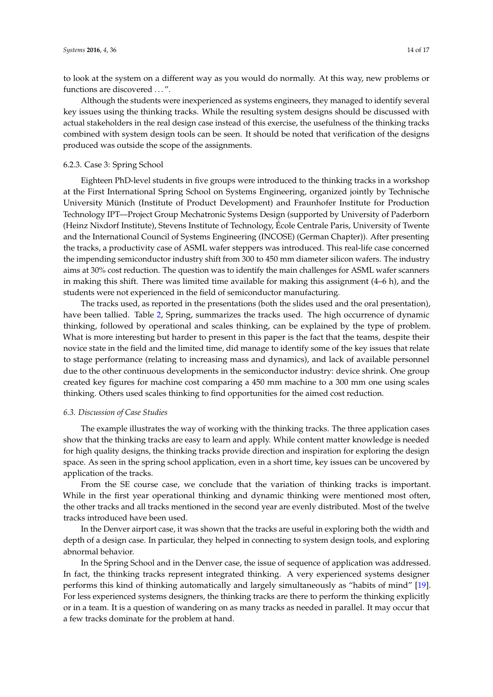to look at the system on a different way as you would do normally. At this way, new problems or functions are discovered ...".

Although the students were inexperienced as systems engineers, they managed to identify several key issues using the thinking tracks. While the resulting system designs should be discussed with actual stakeholders in the real design case instead of this exercise, the usefulness of the thinking tracks combined with system design tools can be seen. It should be noted that verification of the designs produced was outside the scope of the assignments.

# 6.2.3. Case 3: Spring School

Eighteen PhD-level students in five groups were introduced to the thinking tracks in a workshop at the First International Spring School on Systems Engineering, organized jointly by Technische University Münich (Institute of Product Development) and Fraunhofer Institute for Production Technology IPT—Project Group Mechatronic Systems Design (supported by University of Paderborn (Heinz Nixdorf Institute), Stevens Institute of Technology, École Centrale Paris, University of Twente and the International Council of Systems Engineering (INCOSE) (German Chapter)). After presenting the tracks, a productivity case of ASML wafer steppers was introduced. This real-life case concerned the impending semiconductor industry shift from 300 to 450 mm diameter silicon wafers. The industry aims at 30% cost reduction. The question was to identify the main challenges for ASML wafer scanners in making this shift. There was limited time available for making this assignment (4–6 h), and the students were not experienced in the field of semiconductor manufacturing.

The tracks used, as reported in the presentations (both the slides used and the oral presentation), have been tallied. Table [2,](#page-12-0) Spring, summarizes the tracks used. The high occurrence of dynamic thinking, followed by operational and scales thinking, can be explained by the type of problem. What is more interesting but harder to present in this paper is the fact that the teams, despite their novice state in the field and the limited time, did manage to identify some of the key issues that relate to stage performance (relating to increasing mass and dynamics), and lack of available personnel due to the other continuous developments in the semiconductor industry: device shrink. One group created key figures for machine cost comparing a 450 mm machine to a 300 mm one using scales thinking. Others used scales thinking to find opportunities for the aimed cost reduction.

## *6.3. Discussion of Case Studies*

The example illustrates the way of working with the thinking tracks. The three application cases show that the thinking tracks are easy to learn and apply. While content matter knowledge is needed for high quality designs, the thinking tracks provide direction and inspiration for exploring the design space. As seen in the spring school application, even in a short time, key issues can be uncovered by application of the tracks.

From the SE course case, we conclude that the variation of thinking tracks is important. While in the first year operational thinking and dynamic thinking were mentioned most often, the other tracks and all tracks mentioned in the second year are evenly distributed. Most of the twelve tracks introduced have been used.

In the Denver airport case, it was shown that the tracks are useful in exploring both the width and depth of a design case. In particular, they helped in connecting to system design tools, and exploring abnormal behavior.

In the Spring School and in the Denver case, the issue of sequence of application was addressed. In fact, the thinking tracks represent integrated thinking. A very experienced systems designer performs this kind of thinking automatically and largely simultaneously as "habits of mind" [\[19\]](#page-15-9). For less experienced systems designers, the thinking tracks are there to perform the thinking explicitly or in a team. It is a question of wandering on as many tracks as needed in parallel. It may occur that a few tracks dominate for the problem at hand.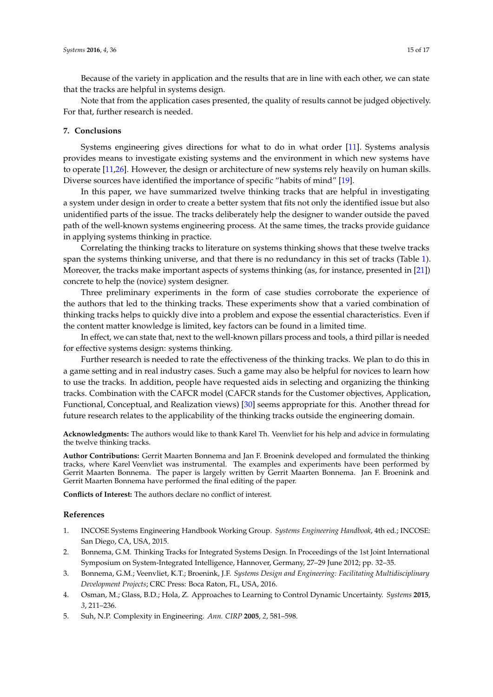Because of the variety in application and the results that are in line with each other, we can state that the tracks are helpful in systems design.

Note that from the application cases presented, the quality of results cannot be judged objectively. For that, further research is needed.

## <span id="page-14-5"></span>**7. Conclusions**

Systems engineering gives directions for what to do in what order [\[11\]](#page-15-5). Systems analysis provides means to investigate existing systems and the environment in which new systems have to operate [\[11,](#page-15-5)[26\]](#page-15-16). However, the design or architecture of new systems rely heavily on human skills. Diverse sources have identified the importance of specific "habits of mind" [\[19\]](#page-15-9).

In this paper, we have summarized twelve thinking tracks that are helpful in investigating a system under design in order to create a better system that fits not only the identified issue but also unidentified parts of the issue. The tracks deliberately help the designer to wander outside the paved path of the well-known systems engineering process. At the same times, the tracks provide guidance in applying systems thinking in practice.

Correlating the thinking tracks to literature on systems thinking shows that these twelve tracks span the systems thinking universe, and that there is no redundancy in this set of tracks (Table [1\)](#page-9-1). Moreover, the tracks make important aspects of systems thinking (as, for instance, presented in [\[21\]](#page-15-11)) concrete to help the (novice) system designer.

Three preliminary experiments in the form of case studies corroborate the experience of the authors that led to the thinking tracks. These experiments show that a varied combination of thinking tracks helps to quickly dive into a problem and expose the essential characteristics. Even if the content matter knowledge is limited, key factors can be found in a limited time.

In effect, we can state that, next to the well-known pillars process and tools, a third pillar is needed for effective systems design: systems thinking.

Further research is needed to rate the effectiveness of the thinking tracks. We plan to do this in a game setting and in real industry cases. Such a game may also be helpful for novices to learn how to use the tracks. In addition, people have requested aids in selecting and organizing the thinking tracks. Combination with the CAFCR model (CAFCR stands for the Customer objectives, Application, Functional, Conceptual, and Realization views) [\[30\]](#page-15-21) seems appropriate for this. Another thread for future research relates to the applicability of the thinking tracks outside the engineering domain.

**Acknowledgments:** The authors would like to thank Karel Th. Veenvliet for his help and advice in formulating the twelve thinking tracks.

**Author Contributions:** Gerrit Maarten Bonnema and Jan F. Broenink developed and formulated the thinking tracks, where Karel Veenvliet was instrumental. The examples and experiments have been performed by Gerrit Maarten Bonnema. The paper is largely written by Gerrit Maarten Bonnema. Jan F. Broenink and Gerrit Maarten Bonnema have performed the final editing of the paper.

**Conflicts of Interest:** The authors declare no conflict of interest.

#### **References**

- <span id="page-14-0"></span>1. INCOSE Systems Engineering Handbook Working Group. *Systems Engineering Handbook*, 4th ed.; INCOSE: San Diego, CA, USA, 2015.
- <span id="page-14-1"></span>2. Bonnema, G.M. Thinking Tracks for Integrated Systems Design. In Proceedings of the 1st Joint International Symposium on System-Integrated Intelligence, Hannover, Germany, 27–29 June 2012; pp. 32–35.
- <span id="page-14-2"></span>3. Bonnema, G.M.; Veenvliet, K.T.; Broenink, J.F. *Systems Design and Engineering: Facilitating Multidisciplinary Development Projects*; CRC Press: Boca Raton, FL, USA, 2016.
- <span id="page-14-3"></span>4. Osman, M.; Glass, B.D.; Hola, Z. Approaches to Learning to Control Dynamic Uncertainty. *Systems* **2015**, *3*, 211–236.
- <span id="page-14-4"></span>5. Suh, N.P. Complexity in Engineering. *Ann. CIRP* **2005**, *2*, 581–598.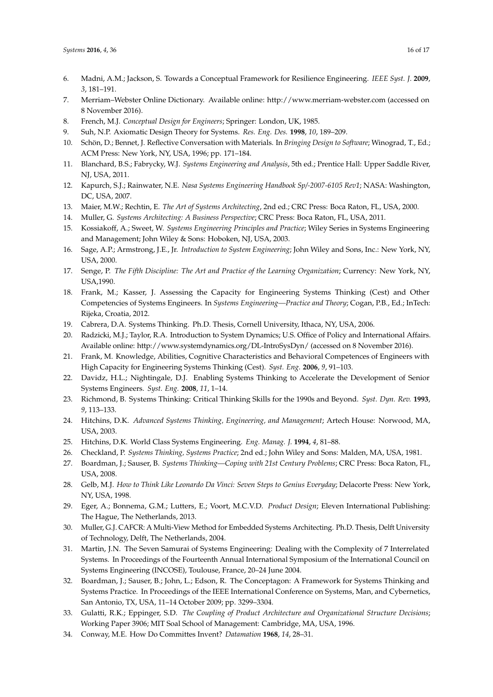- <span id="page-15-0"></span>6. Madni, A.M.; Jackson, S. Towards a Conceptual Framework for Resilience Engineering. *IEEE Syst. J.* **2009**, *3*, 181–191.
- <span id="page-15-1"></span>7. Merriam–Webster Online Dictionary. Available online: http://www.merriam-webster.com (accessed on 8 November 2016).
- <span id="page-15-2"></span>8. French, M.J. *Conceptual Design for Engineers*; Springer: London, UK, 1985.
- <span id="page-15-3"></span>9. Suh, N.P. Axiomatic Design Theory for Systems. *Res. Eng. Des.* **1998**, *10*, 189–209.
- <span id="page-15-4"></span>10. Schön, D.; Bennet, J. Reflective Conversation with Materials. In *Bringing Design to Software*; Winograd, T., Ed.; ACM Press: New York, NY, USA, 1996; pp. 171–184.
- <span id="page-15-5"></span>11. Blanchard, B.S.; Fabrycky, W.J. *Systems Engineering and Analysis*, 5th ed.; Prentice Hall: Upper Saddle River, NJ, USA, 2011.
- 12. Kapurch, S.J.; Rainwater, N.E. *Nasa Systems Engineering Handbook Sp/-2007-6105 Rev1*; NASA: Washington, DC, USA, 2007.
- 13. Maier, M.W.; Rechtin, E. *The Art of Systems Architecting*, 2nd ed.; CRC Press: Boca Raton, FL, USA, 2000.
- <span id="page-15-20"></span>14. Muller, G. *Systems Architecting: A Business Perspective*; CRC Press: Boca Raton, FL, USA, 2011.
- 15. Kossiakoff, A.; Sweet, W. *Systems Engineering Principles and Practice*; Wiley Series in Systems Engineering and Management; John Wiley & Sons: Hoboken, NJ, USA, 2003.
- <span id="page-15-6"></span>16. Sage, A.P.; Armstrong, J.E., Jr. *Introduction to System Engineering*; John Wiley and Sons, Inc.: New York, NY, USA, 2000.
- <span id="page-15-7"></span>17. Senge, P. *The Fifth Discipline: The Art and Practice of the Learning Organization*; Currency: New York, NY, USA,1990.
- <span id="page-15-8"></span>18. Frank, M.; Kasser, J. Assessing the Capacity for Engineering Systems Thinking (Cest) and Other Competencies of Systems Engineers. In *Systems Engineering—Practice and Theory*; Cogan, P.B., Ed.; InTech: Rijeka, Croatia, 2012.
- <span id="page-15-9"></span>19. Cabrera, D.A. Systems Thinking. Ph.D. Thesis, Cornell University, Ithaca, NY, USA, 2006.
- <span id="page-15-10"></span>20. Radzicki, M.J.; Taylor, R.A. Introduction to System Dynamics; U.S. Office of Policy and International Affairs. Available online: http://www.systemdynamics.org/DL-IntroSysDyn/ (accessed on 8 November 2016).
- <span id="page-15-11"></span>21. Frank, M. Knowledge, Abilities, Cognitive Characteristics and Behavioral Competences of Engineers with High Capacity for Engineering Systems Thinking (Cest). *Syst. Eng.* **2006**, *9*, 91–103.
- <span id="page-15-12"></span>22. Davidz, H.L.; Nightingale, D.J. Enabling Systems Thinking to Accelerate the Development of Senior Systems Engineers. *Syst. Eng.* **2008**, *11*, 1–14.
- <span id="page-15-13"></span>23. Richmond, B. Systems Thinking: Critical Thinking Skills for the 1990s and Beyond. *Syst. Dyn. Rev.* **1993**, *9*, 113–133.
- <span id="page-15-14"></span>24. Hitchins, D.K. *Advanced Systems Thinking, Engineering, and Management*; Artech House: Norwood, MA, USA, 2003.
- <span id="page-15-15"></span>25. Hitchins, D.K. World Class Systems Engineering. *Eng. Manag. J.* **1994**, *4*, 81–88.
- <span id="page-15-16"></span>26. Checkland, P. *Systems Thinking, Systems Practice*; 2nd ed.; John Wiley and Sons: Malden, MA, USA, 1981.
- <span id="page-15-17"></span>27. Boardman, J.; Sauser, B. *Systems Thinking—Coping with 21st Century Problems*; CRC Press: Boca Raton, FL, USA, 2008.
- <span id="page-15-18"></span>28. Gelb, M.J. *How to Think Like Leonardo Da Vinci: Seven Steps to Genius Everyday*; Delacorte Press: New York, NY, USA, 1998.
- <span id="page-15-19"></span>29. Eger, A.; Bonnema, G.M.; Lutters, E.; Voort, M.C.V.D. *Product Design*; Eleven International Publishing: The Hague, The Netherlands, 2013.
- <span id="page-15-21"></span>30. Muller, G.J. CAFCR: A Multi-View Method for Embedded Systems Architecting. Ph.D. Thesis, Delft University of Technology, Delft, The Netherlands, 2004.
- <span id="page-15-22"></span>31. Martin, J.N. The Seven Samurai of Systems Engineering: Dealing with the Complexity of 7 Interrelated Systems. In Proceedings of the Fourteenth Annual International Symposium of the International Council on Systems Engineering (INCOSE), Toulouse, France, 20–24 June 2004.
- <span id="page-15-23"></span>32. Boardman, J.; Sauser, B.; John, L.; Edson, R. The Conceptagon: A Framework for Systems Thinking and Systems Practice. In Proceedings of the IEEE International Conference on Systems, Man, and Cybernetics, San Antonio, TX, USA, 11–14 October 2009; pp. 3299–3304.
- <span id="page-15-24"></span>33. Gulatti, R.K.; Eppinger, S.D. *The Coupling of Product Architecture and Organizational Structure Decisions*; Working Paper 3906; MIT Soal School of Management: Cambridge, MA, USA, 1996.
- <span id="page-15-25"></span>34. Conway, M.E. How Do Committes Invent? *Datamation* **1968**, *14*, 28–31.